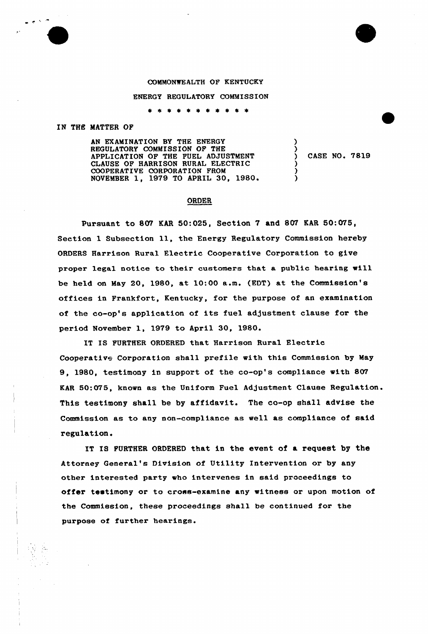## COMMONWEALTH OF KENTUCKY

## ENERGY REGULATORY COMMISSION

\* \* \* \* \* \* \* \* \* \* \*

## IN THE MATTER OF

AN EXAMINATION BY THE ENERGY REGULATORY COMMISSION OF THE APPLICATION OF THE FUEL ADJUSTMENT CLAUSE OF HARRISON RURAL ELECTRIC COOPERATIVE CORPORATION FROM NOVEMBER 1, 1979 TO APRIL 30, 1980.

) CASE NO. 7819

)

) ) )

## ORDER

Pursuant to 807 EAR 50:025, Section 7 and 807 KAR 50:075, Section <sup>1</sup> Subsection ll, the Energy Regulatory Commission hereby ORDERS Harrison Rural Electric Cooperative Corporation to give proper legal notice to their customers that a public hearing will be held on May 20, 1980, at 10:00 a.m. (EDT) at the Commission's offices in Frankfort, Kentucky, for the purpose of an examination of the co-op's application of its fuel adjustment clause for the period November 1, 1979 to April 30, 1980.

IT IS FURTHER ORDERED that Harrison Rural Electric Cooperative Corporation shall prefile with this Commission by May 9, 1980, testimony in support of the co-op's compliance with 807 KAR 50:075, known as the Uniform Fuel Adjustment Clause Regulation. This testimony shall be by affidavit. The co-op shall advise the Commission as to any non-compliance as well as compliance of said regulation.

IT IS FURTHER ORDERED that in the event of a request by the Attorney General's Division of Utility Intervention or by any other interested party who intervenes in said proceedings to offer testimony or to cross-examine any witness or upon motion of the Commission, these proceedings shall be continued for the purpose of further hearings.